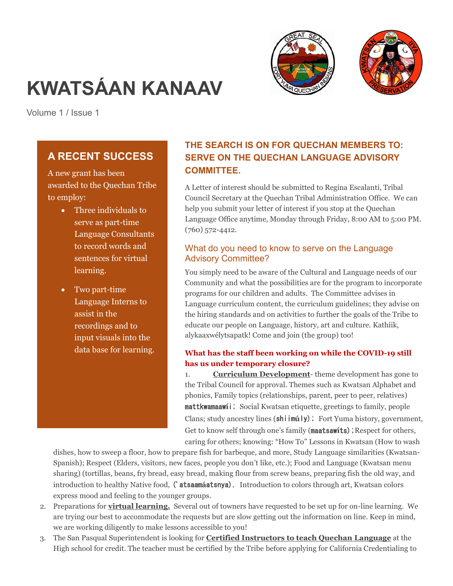



# **KWATSÁAN KANAAV**

Volume 1 / Issue 1

# **A RECENT SUCCESS**

A new grant has been awarded to the Quechan Tribe to employ:

- Three individuals to serve as part-time Language Consultants to record words and sentences for virtual learning.
- Two part-time Language Interns to assist in the recordings and to input visuals into the data base for learning.

# **THE SEARCH IS ON FOR QUECHAN MEMBERS TO: SERVE ON THE QUECHAN LANGUAGE ADVISORY COMMITTEE.**

A Letter of interest should be submitted to Regina Escalanti, Tribal Council Secretary at the Quechan Tribal Administration Office. We can help you submit your letter of interest if you stop at the Quechan Language Office anytime, Monday through Friday, 8:00 AM to 5:00 PM. (760) 572-4412.

## What do you need to know to serve on the Language Advisory Committee?

You simply need to be aware of the Cultural and Language needs of our Community and what the possibilities are for the program to incorporate programs for our children and adults. The Committee advises in Language curriculum content, the curriculum guidelines; they advise on the hiring standards and on activities to further the goals of the Tribe to educate our people on Language, history, art and culture. Kathíik, alykaaxwélytsapatk! Come and join (the group) too!

#### **What has the staff been working on while the COVID-19 still has us under temporary closure?**

1. **Curriculum Development**- theme development has gone to the Tribal Council for approval. Themes such as Kwatsan Alphabet and phonics, Family topics (relationships, parent, peer to peer, relatives) mattkwamaaw**í**i; Social Kwatsan etiquette, greetings to family, people Clans; study ancestry lines (shiim**ú**ly); Fort Yuma history, government, Get to know self through one's family (maatsawits); Respect for others, caring for others; knowing: "How To" Lessons in Kwatsan (How to wash

dishes, how to sweep a floor, how to prepare fish for barbeque, and more, Study Language similarities (Kwatsan-Spanish); Respect (Elders, visitors, new faces, people you don't like, etc.); Food and Language (Kwatsan menu sharing) (tortillas, beans, fry bread, easy bread, making flour from screw beans, preparing fish the old way, and introduction to healthy Native food, ('atsaam**á**atsnya). Introduction to colors through art, Kwatsan colors express mood and feeling to the younger groups.

- 2. Preparations for **virtual learning.** Several out of towners have requested to be set up for on-line learning. We are trying our best to accommodate the requests but are slow getting out the information on line. Keep in mind, we are working diligently to make lessons accessible to you!
- 3. The San Pasqual Superintendent is looking for **Certified Instructors to teach Quechan Language** at the High school for credit. The teacher must be certified by the Tribe before applying for California Credentialing to